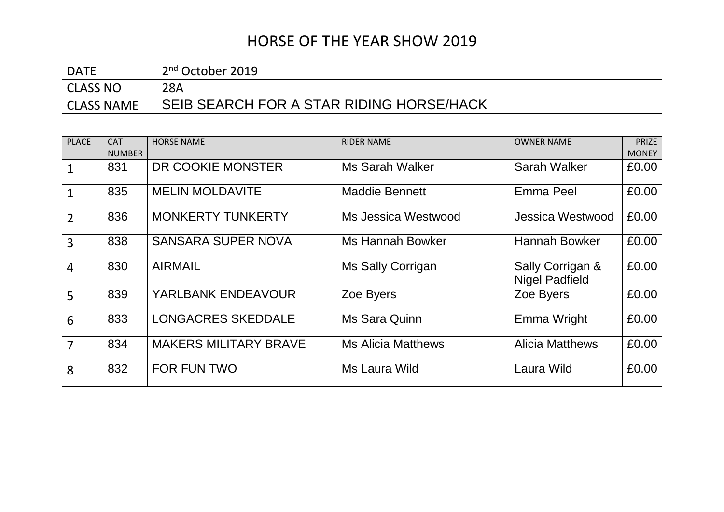| <b>DATE</b>       | 2 <sup>nd</sup> October 2019             |
|-------------------|------------------------------------------|
| CLASS NO          | 28A                                      |
| <b>CLASS NAME</b> | SEIB SEARCH FOR A STAR RIDING HORSE/HACK |

| <b>PLACE</b>   | <b>CAT</b><br><b>NUMBER</b> | <b>HORSE NAME</b>            | <b>RIDER NAME</b>         | <b>OWNER NAME</b>                         | <b>PRIZE</b><br><b>MONEY</b> |
|----------------|-----------------------------|------------------------------|---------------------------|-------------------------------------------|------------------------------|
|                | 831                         | DR COOKIE MONSTER            | <b>Ms Sarah Walker</b>    | Sarah Walker                              | £0.00                        |
| $\mathbf{1}$   | 835                         | <b>MELIN MOLDAVITE</b>       | <b>Maddie Bennett</b>     | Emma Peel                                 | £0.00                        |
| $\overline{2}$ | 836                         | <b>MONKERTY TUNKERTY</b>     | Ms Jessica Westwood       | Jessica Westwood                          | £0.00                        |
| 3              | 838                         | <b>SANSARA SUPER NOVA</b>    | <b>Ms Hannah Bowker</b>   | <b>Hannah Bowker</b>                      | £0.00                        |
| $\overline{4}$ | 830                         | <b>AIRMAIL</b>               | Ms Sally Corrigan         | Sally Corrigan &<br><b>Nigel Padfield</b> | £0.00                        |
| 5              | 839                         | <b>YARLBANK ENDEAVOUR</b>    | Zoe Byers                 | Zoe Byers                                 | £0.00                        |
| 6              | 833                         | <b>LONGACRES SKEDDALE</b>    | Ms Sara Quinn             | Emma Wright                               | £0.00                        |
| $\overline{7}$ | 834                         | <b>MAKERS MILITARY BRAVE</b> | <b>Ms Alicia Matthews</b> | <b>Alicia Matthews</b>                    | £0.00                        |
| 8              | 832                         | <b>FOR FUN TWO</b>           | Ms Laura Wild             | Laura Wild                                | £0.00                        |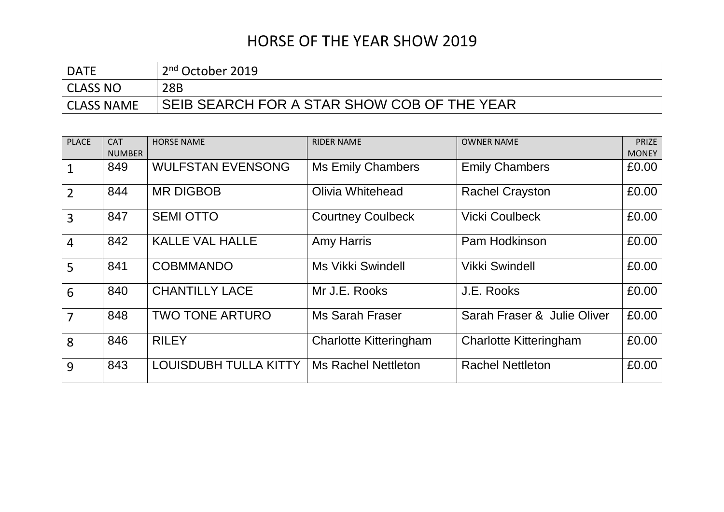| <b>DATE</b>       | 2 <sup>nd</sup> October 2019                |
|-------------------|---------------------------------------------|
| CLASS NO          | 28B                                         |
| <b>CLASS NAME</b> | SEIB SEARCH FOR A STAR SHOW COB OF THE YEAR |

| <b>PLACE</b>   | <b>CAT</b><br><b>NUMBER</b> | <b>HORSE NAME</b>        | <b>RIDER NAME</b>             | <b>OWNER NAME</b>             | <b>PRIZE</b><br><b>MONEY</b> |
|----------------|-----------------------------|--------------------------|-------------------------------|-------------------------------|------------------------------|
| $\mathbf 1$    | 849                         | <b>WULFSTAN EVENSONG</b> | <b>Ms Emily Chambers</b>      | <b>Emily Chambers</b>         | £0.00                        |
| $\overline{2}$ | 844                         | <b>MR DIGBOB</b>         | Olivia Whitehead              | <b>Rachel Crayston</b>        | £0.00                        |
| $\overline{3}$ | 847                         | <b>SEMI OTTO</b>         | <b>Courtney Coulbeck</b>      | <b>Vicki Coulbeck</b>         | £0.00                        |
| $\overline{4}$ | 842                         | <b>KALLE VAL HALLE</b>   | <b>Amy Harris</b>             | Pam Hodkinson                 | £0.00                        |
| 5              | 841                         | <b>COBMMANDO</b>         | <b>Ms Vikki Swindell</b>      | <b>Vikki Swindell</b>         | £0.00                        |
| 6              | 840                         | <b>CHANTILLY LACE</b>    | Mr J.E. Rooks                 | J.E. Rooks                    | £0.00                        |
| $\overline{7}$ | 848                         | <b>TWO TONE ARTURO</b>   | <b>Ms Sarah Fraser</b>        | Sarah Fraser & Julie Oliver   | £0.00                        |
| 8              | 846                         | <b>RILEY</b>             | <b>Charlotte Kitteringham</b> | <b>Charlotte Kitteringham</b> | £0.00                        |
| 9              | 843                         | LOUISDUBH TULLA KITTY    | <b>Ms Rachel Nettleton</b>    | <b>Rachel Nettleton</b>       | £0.00                        |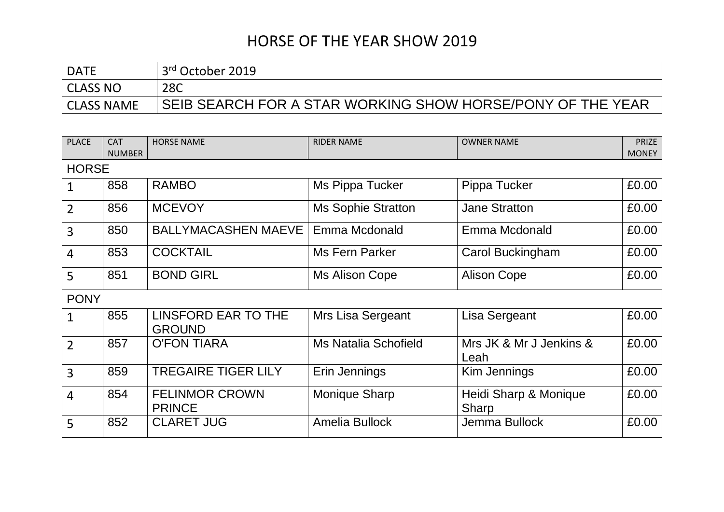| <b>DATE</b> | 3rd October 2019                                           |
|-------------|------------------------------------------------------------|
| CLASS NO    | 28C                                                        |
| CLASS NAME  | SEIB SEARCH FOR A STAR WORKING SHOW HORSE/PONY OF THE YEAR |

| <b>PLACE</b>   | <b>CAT</b>    | <b>HORSE NAME</b>                      | <b>RIDER NAME</b>           | <b>OWNER NAME</b>               | <b>PRIZE</b> |
|----------------|---------------|----------------------------------------|-----------------------------|---------------------------------|--------------|
|                | <b>NUMBER</b> |                                        |                             |                                 | <b>MONEY</b> |
| <b>HORSE</b>   |               |                                        |                             |                                 |              |
| $\mathbf{1}$   | 858           | <b>RAMBO</b>                           | Ms Pippa Tucker             | Pippa Tucker                    | £0.00        |
| $\overline{2}$ | 856           | <b>MCEVOY</b>                          | <b>Ms Sophie Stratton</b>   | <b>Jane Stratton</b>            | £0.00        |
| $\overline{3}$ | 850           | <b>BALLYMACASHEN MAEVE</b>             | Emma Mcdonald               | Emma Mcdonald                   | £0.00        |
| 4              | 853           | <b>COCKTAIL</b>                        | Ms Fern Parker              | Carol Buckingham                | £0.00        |
| 5              | 851           | <b>BOND GIRL</b>                       | Ms Alison Cope              | <b>Alison Cope</b>              | £0.00        |
| <b>PONY</b>    |               |                                        |                             |                                 |              |
| $\mathbf{1}$   | 855           | LINSFORD EAR TO THE<br><b>GROUND</b>   | Mrs Lisa Sergeant           | Lisa Sergeant                   | £0.00        |
| $\overline{2}$ | 857           | <b>O'FON TIARA</b>                     | <b>Ms Natalia Schofield</b> | Mrs JK & Mr J Jenkins &<br>Leah | £0.00        |
| $\overline{3}$ | 859           | <b>TREGAIRE TIGER LILY</b>             | Erin Jennings               | Kim Jennings                    | £0.00        |
| 4              | 854           | <b>FELINMOR CROWN</b><br><b>PRINCE</b> | <b>Monique Sharp</b>        | Heidi Sharp & Monique<br>Sharp  | £0.00        |
| 5              | 852           | <b>CLARET JUG</b>                      | Amelia Bullock              | Jemma Bullock                   | £0.00        |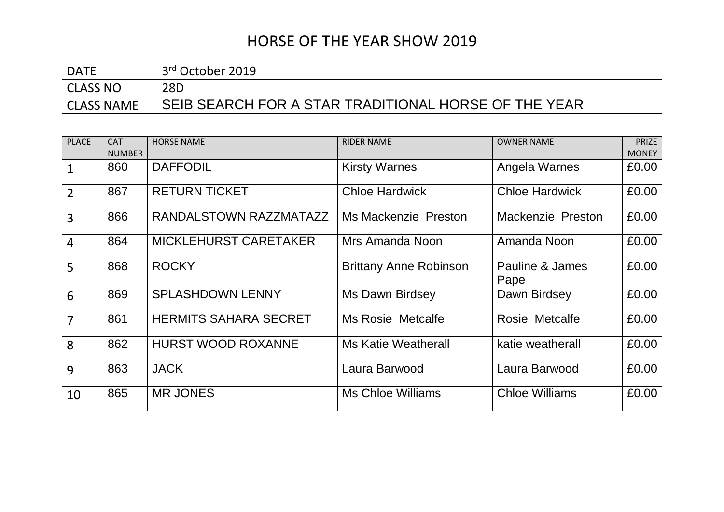| <b>DATE</b>       | 3 <sup>rd</sup> October 2019                           |
|-------------------|--------------------------------------------------------|
| CLASS NO          | 28D                                                    |
| <b>CLASS NAME</b> | ' SEIB SEARCH FOR A STAR TRADITIONAL HORSE OF THE YEAR |

| <b>PLACE</b>   | <b>CAT</b>    | <b>HORSE NAME</b>            | <b>RIDER NAME</b>             | <b>OWNER NAME</b>       | <b>PRIZE</b> |
|----------------|---------------|------------------------------|-------------------------------|-------------------------|--------------|
|                | <b>NUMBER</b> |                              |                               |                         | <b>MONEY</b> |
| $\mathbf{1}$   | 860           | <b>DAFFODIL</b>              | <b>Kirsty Warnes</b>          | Angela Warnes           | £0.00        |
| $\overline{2}$ | 867           | <b>RETURN TICKET</b>         | <b>Chloe Hardwick</b>         | <b>Chloe Hardwick</b>   | £0.00        |
| $\overline{3}$ | 866           | RANDALSTOWN RAZZMATAZZ       | <b>Ms Mackenzie Preston</b>   | Mackenzie Preston       | £0.00        |
| $\overline{4}$ | 864           | <b>MICKLEHURST CARETAKER</b> | Mrs Amanda Noon               | Amanda Noon             | £0.00        |
| 5              | 868           | <b>ROCKY</b>                 | <b>Brittany Anne Robinson</b> | Pauline & James<br>Pape | £0.00        |
| 6              | 869           | <b>SPLASHDOWN LENNY</b>      | Ms Dawn Birdsey               | Dawn Birdsey            | £0.00        |
| $\overline{7}$ | 861           | <b>HERMITS SAHARA SECRET</b> | <b>Ms Rosie Metcalfe</b>      | Rosie Metcalfe          | £0.00        |
| 8              | 862           | <b>HURST WOOD ROXANNE</b>    | Ms Katie Weatherall           | katie weatherall        | £0.00        |
| 9              | 863           | <b>JACK</b>                  | Laura Barwood                 | Laura Barwood           | £0.00        |
| 10             | 865           | <b>MR JONES</b>              | Ms Chloe Williams             | <b>Chloe Williams</b>   | £0.00        |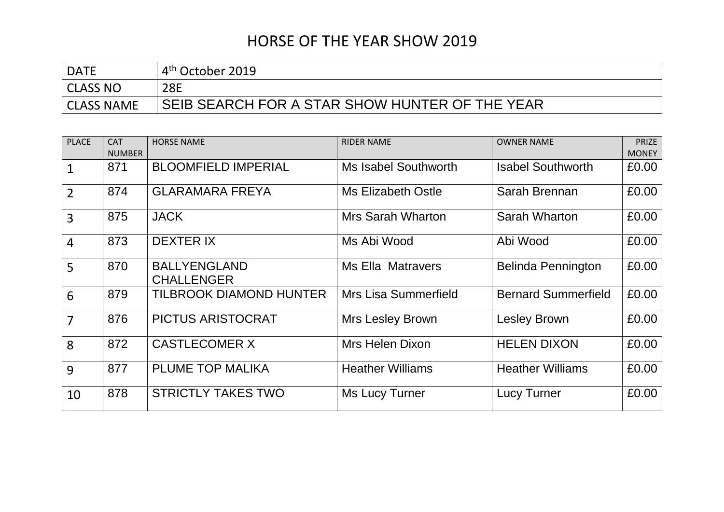| <b>DATE</b>       | 4 <sup>th</sup> October 2019                   |
|-------------------|------------------------------------------------|
| CLASS NO          | <b>28E</b>                                     |
| <b>CLASS NAME</b> | SEIB SEARCH FOR A STAR SHOW HUNTER OF THE YEAR |

| <b>PLACE</b>   | <b>CAT</b>    | <b>HORSE NAME</b>                        | <b>RIDER NAME</b>         | <b>OWNER NAME</b>          | <b>PRIZE</b> |
|----------------|---------------|------------------------------------------|---------------------------|----------------------------|--------------|
|                | <b>NUMBER</b> |                                          |                           |                            | <b>MONEY</b> |
| $\mathbf{1}$   | 871           | <b>BLOOMFIELD IMPERIAL</b>               | Ms Isabel Southworth      | <b>Isabel Southworth</b>   | £0.00        |
| $\overline{2}$ | 874           | <b>GLARAMARA FREYA</b>                   | <b>Ms Elizabeth Ostle</b> | Sarah Brennan              | £0.00        |
| $\overline{3}$ | 875           | <b>JACK</b>                              | <b>Mrs Sarah Wharton</b>  | Sarah Wharton              | £0.00        |
| $\overline{4}$ | 873           | <b>DEXTER IX</b>                         | Ms Abi Wood               | Abi Wood                   | £0.00        |
| 5              | 870           | <b>BALLYENGLAND</b><br><b>CHALLENGER</b> | <b>Ms Ella Matravers</b>  | <b>Belinda Pennington</b>  | £0.00        |
| 6              | 879           | <b>TILBROOK DIAMOND HUNTER</b>           | Mrs Lisa Summerfield      | <b>Bernard Summerfield</b> | £0.00        |
| $\overline{7}$ | 876           | <b>PICTUS ARISTOCRAT</b>                 | Mrs Lesley Brown          | <b>Lesley Brown</b>        | £0.00        |
| 8              | 872           | <b>CASTLECOMER X</b>                     | Mrs Helen Dixon           | <b>HELEN DIXON</b>         | £0.00        |
| 9              | 877           | <b>PLUME TOP MALIKA</b>                  | <b>Heather Williams</b>   | <b>Heather Williams</b>    | £0.00        |
| 10             | 878           | <b>STRICTLY TAKES TWO</b>                | Ms Lucy Turner            | <b>Lucy Turner</b>         | £0.00        |